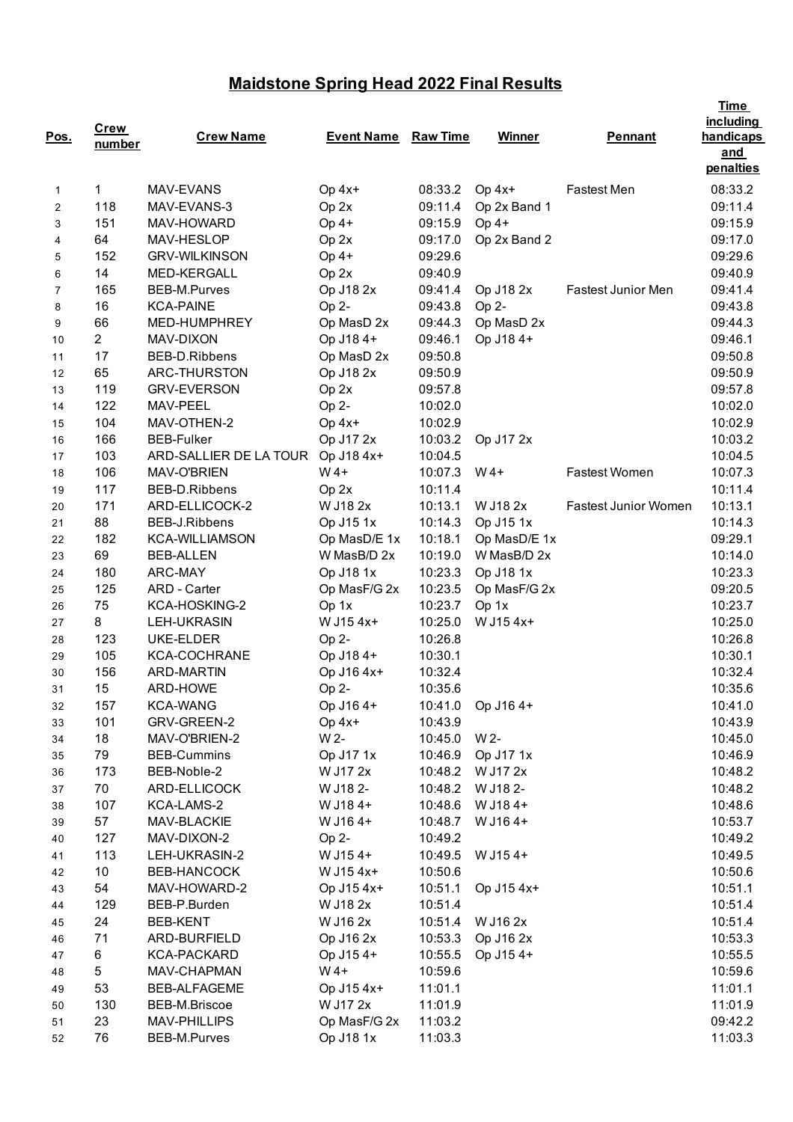## **Maidstone Spring Head 2022 Final Results**

| Pos.           | <b>Crew</b><br>number | <b>Crew Name</b>       | <b>Event Name</b> | <b>Raw Time</b> | <b>Winner</b>   | <b>Pennant</b>              | <b>Time</b><br><i>including</i><br>handicaps<br>and |
|----------------|-----------------------|------------------------|-------------------|-----------------|-----------------|-----------------------------|-----------------------------------------------------|
| $\mathbf{1}$   | 1                     | MAV-EVANS              | Op 4x+            | 08:33.2         | $Op 4x+$        | <b>Fastest Men</b>          | penalties<br>08:33.2                                |
| 2              | 118                   | MAV-EVANS-3            | Op 2x             | 09:11.4         | Op 2x Band 1    |                             | 09:11.4                                             |
| 3              | 151                   | MAV-HOWARD             | $Op 4+$           | 09:15.9         | $Op 4+$         |                             | 09:15.9                                             |
| 4              | 64                    | MAV-HESLOP             | $Op$ $2x$         | 09:17.0         | Op 2x Band 2    |                             | 09:17.0                                             |
| 5              | 152                   | <b>GRV-WILKINSON</b>   | $Op 4+$           | 09:29.6         |                 |                             | 09:29.6                                             |
| 6              | 14                    | <b>MED-KERGALL</b>     | Op 2x             | 09:40.9         |                 |                             | 09:40.9                                             |
| $\overline{7}$ | 165                   | BEB-M.Purves           | Op J18 2x         | 09:41.4         | Op J18 2x       | <b>Fastest Junior Men</b>   | 09:41.4                                             |
| 8              | 16                    | <b>KCA-PAINE</b>       | Op 2-             | 09:43.8         | Op 2-           |                             | 09:43.8                                             |
| 9              | 66                    | MED-HUMPHREY           | Op MasD 2x        | 09:44.3         | Op MasD 2x      |                             | 09:44.3                                             |
| 10             | $\overline{2}$        | MAV-DIXON              | Op J18 4+         | 09:46.1         | Op J18 4+       |                             | 09:46.1                                             |
| 11             | 17                    | BEB-D.Ribbens          | Op MasD 2x        | 09:50.8         |                 |                             | 09:50.8                                             |
| 12             | 65                    | ARC-THURSTON           | Op J18 2x         | 09:50.9         |                 |                             | 09:50.9                                             |
| 13             | 119                   | <b>GRV-EVERSON</b>     | Op 2x             | 09:57.8         |                 |                             | 09:57.8                                             |
| 14             | 122                   | MAV-PEEL               | Op 2-             | 10:02.0         |                 |                             | 10:02.0                                             |
| 15             | 104                   | MAV-OTHEN-2            | Op 4x+            | 10:02.9         |                 |                             | 10:02.9                                             |
| 16             | 166                   | <b>BEB-Fulker</b>      | Op J17 2x         | 10:03.2         | Op J17 2x       |                             | 10:03.2                                             |
| 17             | 103                   | ARD-SALLIER DE LA TOUR | Op J18 4x+        | 10:04.5         |                 |                             | 10:04.5                                             |
| 18             | 106                   | MAV-O'BRIEN            | $W$ 4+            | 10:07.3         | $W$ 4+          | Fastest Women               | 10:07.3                                             |
| 19             | 117                   | BEB-D.Ribbens          | Op 2x             | 10:11.4         |                 |                             | 10:11.4                                             |
| 20             | 171                   | ARD-ELLICOCK-2         | W J18 2x          | 10:13.1         | W J18 2x        | <b>Fastest Junior Women</b> | 10:13.1                                             |
| 21             | 88                    | BEB-J.Ribbens          | Op J15 1x         | 10:14.3         | Op J15 1x       |                             | 10:14.3                                             |
| 22             | 182                   | <b>KCA-WILLIAMSON</b>  | Op MasD/E 1x      | 10:18.1         | Op MasD/E 1x    |                             | 09:29.1                                             |
| 23             | 69                    | <b>BEB-ALLEN</b>       | W MasB/D 2x       | 10:19.0         | W MasB/D 2x     |                             | 10:14.0                                             |
| 24             | 180                   | ARC-MAY                | Op J18 1x         | 10:23.3         | Op J18 1x       |                             | 10:23.3                                             |
| 25             | 125                   | ARD - Carter           | Op MasF/G 2x      | 10:23.5         | Op MasF/G 2x    |                             | 09:20.5                                             |
| 26             | 75                    | KCA-HOSKING-2          | Op 1x             | 10:23.7         | Op 1x           |                             | 10:23.7                                             |
| 27             | 8                     | <b>LEH-UKRASIN</b>     | W J15 4x+         | 10:25.0         | W J15 4x+       |                             | 10:25.0                                             |
| 28             | 123                   | UKE-ELDER              | Op 2-             | 10:26.8         |                 |                             | 10:26.8                                             |
| 29             | 105                   | <b>KCA-COCHRANE</b>    | Op J18 4+         | 10:30.1         |                 |                             | 10:30.1                                             |
| 30             | 156                   | <b>ARD-MARTIN</b>      | Op J16 4x+        | 10:32.4         |                 |                             | 10:32.4                                             |
| 31             | 15                    | ARD-HOWE               | Op 2-             | 10:35.6         |                 |                             | 10:35.6                                             |
| 32             | 157                   | <b>KCA-WANG</b>        | Op J16 4+         | 10:41.0         | Op J16 4+       |                             | 10:41.0                                             |
| 33             | 101                   | GRV-GREEN-2            | Op 4x+            | 10:43.9         |                 |                             | 10:43.9                                             |
| 34             | 18                    | MAV-O'BRIEN-2          | W 2-              | 10:45.0         | W 2-            |                             | 10:45.0                                             |
| 35             | 79                    | <b>BEB-Cummins</b>     | Op J17 1x         | 10:46.9         | Op J17 1x       |                             | 10:46.9                                             |
| 36             | 173                   | BEB-Noble-2            | W J17 2x          | 10:48.2         | W J17 2x        |                             | 10:48.2                                             |
| 37             | 70                    | ARD-ELLICOCK           | W J18 2-          | 10:48.2         | W J18 2-        |                             | 10:48.2                                             |
| 38             | 107                   | KCA-LAMS-2             | W J184+           | 10:48.6         | W J184+         |                             | 10:48.6                                             |
| 39             | 57                    | MAV-BLACKIE            | W J164+           | 10:48.7         | W J164+         |                             | 10:53.7                                             |
| 40             | 127                   | MAV-DIXON-2            | Op 2-             | 10:49.2         |                 |                             | 10:49.2                                             |
| 41             | 113                   | LEH-UKRASIN-2          | W J154+           |                 | 10:49.5 W J154+ |                             | 10:49.5                                             |
| 42             | 10                    | BEB-HANCOCK            | W J15 4x+         | 10:50.6         |                 |                             | 10:50.6                                             |
| 43             | 54                    | MAV-HOWARD-2           | Op J15 4x+        | 10:51.1         | Op J15 4x+      |                             | 10:51.1                                             |
| 44             | 129                   | BEB-P.Burden           | W J18 2x          | 10:51.4         |                 |                             | 10:51.4                                             |
| 45             | 24                    | <b>BEB-KENT</b>        | W J16 2x          | 10:51.4         | W J16 2x        |                             | 10:51.4                                             |
| 46             | 71                    | ARD-BURFIELD           | Op J16 2x         | 10:53.3         | Op J16 2x       |                             | 10:53.3                                             |
| 47             | 6                     | KCA-PACKARD            | Op J154+          | 10:55.5         | Op J154+        |                             | 10:55.5                                             |
| 48             | 5                     | MAV-CHAPMAN            | $W$ 4+            | 10:59.6         |                 |                             | 10:59.6                                             |
| 49             | 53                    | <b>BEB-ALFAGEME</b>    | Op J15 4x+        | 11:01.1         |                 |                             | 11:01.1                                             |
| 50             | 130                   | BEB-M.Briscoe          | W J17 2x          | 11:01.9         |                 |                             | 11:01.9                                             |
| 51             | 23                    | <b>MAV-PHILLIPS</b>    | Op MasF/G 2x      | 11:03.2         |                 |                             | 09:42.2                                             |
| 52             | 76                    | BEB-M.Purves           | Op J18 1x         | 11:03.3         |                 |                             | 11:03.3                                             |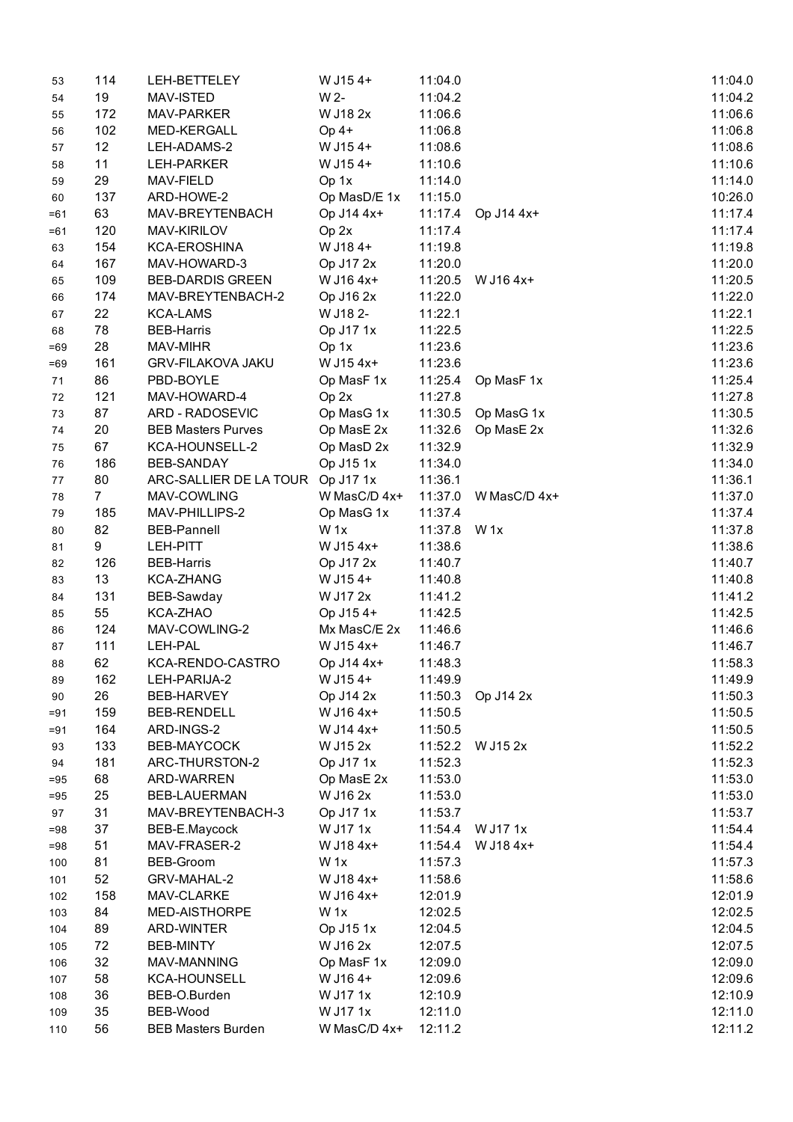| 53       | 114            | LEH-BETTELEY                             | W J154+                | 11:04.0            |                    | 11:04.0            |
|----------|----------------|------------------------------------------|------------------------|--------------------|--------------------|--------------------|
| 54       | 19             | MAV-ISTED                                | W 2-                   | 11:04.2            |                    | 11:04.2            |
| 55       | 172            | MAV-PARKER                               | W J18 2x               | 11:06.6            |                    | 11:06.6            |
| 56       | 102            | MED-KERGALL                              | $Op 4+$                | 11:06.8            |                    | 11:06.8            |
| 57       | 12             | LEH-ADAMS-2                              | W J154+                | 11:08.6            |                    | 11:08.6            |
| 58       | 11             | LEH-PARKER                               | W J154+                | 11:10.6            |                    | 11:10.6            |
| 59       | 29             | MAV-FIELD                                | Op 1x                  | 11:14.0            |                    | 11:14.0            |
| 60       | 137            | ARD-HOWE-2                               | Op MasD/E 1x           | 11:15.0            |                    | 10:26.0            |
| $=61$    | 63             | MAV-BREYTENBACH                          | Op J14 4x+             | 11:17.4            | Op J14 4x+         | 11:17.4            |
| $=61$    | 120            | MAV-KIRILOV                              | Op 2x                  | 11:17.4            |                    | 11:17.4            |
| 63       | 154            | <b>KCA-EROSHINA</b>                      | W J184+                | 11:19.8            |                    | 11:19.8            |
| 64       | 167            | MAV-HOWARD-3                             | Op J17 2x              | 11:20.0            |                    | 11:20.0            |
| 65       | 109            | <b>BEB-DARDIS GREEN</b>                  | W J16 4x+              | 11:20.5            | W J16 4x+          | 11:20.5            |
| 66       | 174            | MAV-BREYTENBACH-2                        | Op J16 2x              | 11:22.0            |                    | 11:22.0            |
| 67       | 22             | <b>KCA-LAMS</b>                          | W J18 2-               | 11:22.1            |                    | 11:22.1            |
| 68       | 78             | <b>BEB-Harris</b>                        | Op J17 1x              | 11:22.5            |                    | 11:22.5            |
| $=69$    | 28             | MAV-MIHR                                 | Op 1x                  | 11:23.6            |                    | 11:23.6            |
| $=69$    | 161            | <b>GRV-FILAKOVA JAKU</b>                 | W J15 4x+              | 11:23.6            |                    | 11:23.6            |
| 71       | 86             | PBD-BOYLE                                | Op MasF 1x             |                    | 11:25.4 Op MasF 1x | 11:25.4            |
| 72       | 121            | MAV-HOWARD-4                             | Op 2x                  | 11:27.8            |                    | 11:27.8            |
| 73       | 87             | ARD - RADOSEVIC                          | Op MasG 1x             |                    | 11:30.5 Op MasG 1x | 11:30.5            |
| 74       | 20             | <b>BEB Masters Purves</b>                | Op MasE 2x             | 11:32.6            | Op MasE 2x         | 11:32.6            |
| 75       | 67             | KCA-HOUNSELL-2                           | Op MasD 2x             | 11:32.9            |                    | 11:32.9            |
| 76       | 186            | BEB-SANDAY                               | Op J15 1x              | 11:34.0            |                    | 11:34.0            |
| $77$     | 80             | ARC-SALLIER DE LA TOUR Op J17 1x         |                        | 11:36.1            |                    | 11:36.1            |
| 78       | $\overline{7}$ | MAV-COWLING                              | W MasC/D 4x+           | 11:37.0            | W MasC/D 4x+       | 11:37.0            |
| 79       | 185            | MAV-PHILLIPS-2                           | Op MasG 1x             | 11:37.4            |                    | 11:37.4            |
| 80       | 82             | <b>BEB-Pannell</b>                       | W <sub>1x</sub>        | 11:37.8 W 1x       |                    | 11:37.8            |
| 81       | 9              | <b>LEH-PITT</b>                          | W J15 4x+              | 11:38.6            |                    | 11:38.6            |
| 82       | 126            | <b>BEB-Harris</b>                        | Op J17 2x              | 11:40.7            |                    | 11:40.7            |
| 83       | 13             | <b>KCA-ZHANG</b>                         | W J154+                | 11:40.8            |                    | 11:40.8            |
| 84       | 131            | BEB-Sawday                               | W J17 2x               | 11:41.2            |                    | 11:41.2            |
| 85       | 55             | KCA-ZHAO                                 | Op J154+               | 11:42.5            |                    | 11:42.5            |
| 86       | 124            | MAV-COWLING-2                            | Mx MasC/E 2x           | 11:46.6            |                    | 11:46.6            |
| 87       | 111            | LEH-PAL                                  | W J15 4x+              | 11:46.7            |                    | 11:46.7            |
| 88       | 62             | KCA-RENDO-CASTRO                         | Op J14 4x+             | 11:48.3            |                    | 11:58.3            |
|          | 162            | LEH-PARIJA-2                             | W J154+                | 11:49.9            |                    | 11:49.9            |
| 89<br>90 | 26             | BEB-HARVEY                               | Op J14 2x              | 11:50.3            | Op J14 2x          | 11:50.3            |
|          | 159            | <b>BEB-RENDELL</b>                       | W J16 4x+              | 11:50.5            |                    |                    |
| $= 91$   | 164            | ARD-INGS-2                               | W J14 4x+              |                    |                    | 11:50.5<br>11:50.5 |
| $= 91$   | 133            | BEB-MAYCOCK                              | W J15 2x               | 11:50.5            | W J15 2x           | 11:52.2            |
| 93       | 181            | ARC-THURSTON-2                           | Op J17 1x              | 11:52.2<br>11:52.3 |                    | 11:52.3            |
| 94       |                |                                          |                        |                    |                    | 11:53.0            |
| $= 95$   | 68             | ARD-WARREN                               | Op MasE 2x<br>W J16 2x | 11:53.0            |                    |                    |
| $= 95$   | 25             | <b>BEB-LAUERMAN</b><br>MAV-BREYTENBACH-3 |                        | 11:53.0            |                    | 11:53.0            |
| 97       | 31             |                                          | Op J17 1x              | 11:53.7            |                    | 11:53.7            |
| $= 98$   | 37             | BEB-E.Maycock                            | W J17 1x               | 11:54.4            | W J17 1x           | 11:54.4            |
| $= 98$   | 51             | MAV-FRASER-2                             | W J18 4x+              | 11:54.4            | W J18 4x+          | 11:54.4            |
| 100      | 81             | BEB-Groom                                | W <sub>1x</sub>        | 11:57.3            |                    | 11:57.3            |
| 101      | 52             | GRV-MAHAL-2                              | W J18 4x+              | 11:58.6            |                    | 11:58.6            |
| 102      | 158            | MAV-CLARKE                               | W J16 4x+              | 12:01.9            |                    | 12:01.9            |
| 103      | 84             | MED-AISTHORPE                            | W <sub>1x</sub>        | 12:02.5            |                    | 12:02.5            |
| 104      | 89             | ARD-WINTER                               | Op J15 1x              | 12:04.5            |                    | 12:04.5            |
| 105      | 72             | <b>BEB-MINTY</b>                         | W J16 2x               | 12:07.5            |                    | 12:07.5            |
| 106      | 32             | MAV-MANNING                              | Op MasF 1x             | 12:09.0            |                    | 12:09.0            |
| 107      | 58             | <b>KCA-HOUNSELL</b>                      | W J164+                | 12:09.6            |                    | 12:09.6            |
| 108      | 36             | BEB-O.Burden                             | W J17 1x               | 12:10.9            |                    | 12:10.9            |
| 109      | 35             | BEB-Wood                                 | W J17 1x               | 12:11.0            |                    | 12:11.0            |
| 110      | 56             | <b>BEB Masters Burden</b>                | W MasC/D 4x+           | 12:11.2            |                    | 12:11.2            |